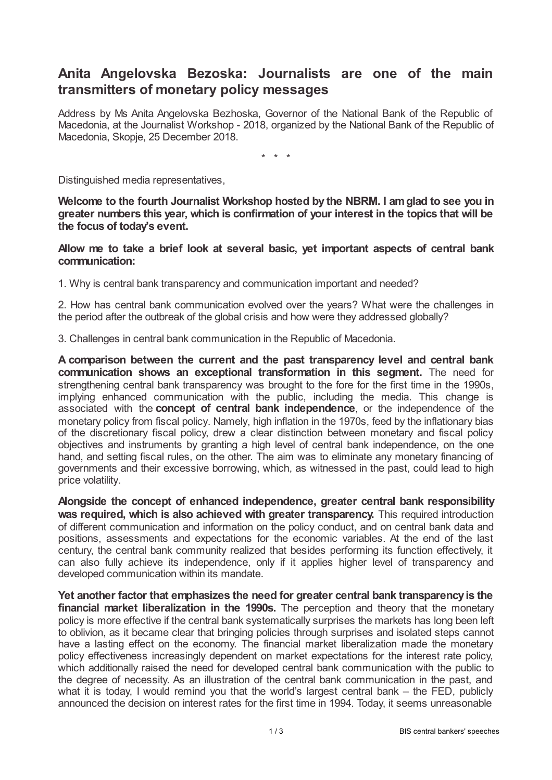## **Anita Angelovska Bezoska: Journalists are one of the main transmitters of monetary policy messages**

Address by Ms Anita Angelovska Bezhoska, Governor of the National Bank of the Republic of Macedonia, at the Journalist Workshop - 2018, organized by the National Bank of the Republic of Macedonia, Skopje, 25 December 2018.

\* \* \*

Distinguished media representatives,

**Welcome to the fourth Journalist Workshop hosted by the NBRM. I amglad to see you in greater numbers this year, which is confirmation of your interest in the topics that will be the focus of today's event.**

**Allow me to take a brief look at several basic, yet important aspects of central bank communication:**

1. Why is central bank transparency and communication important and needed?

2. How has central bank communication evolved over the years? What were the challenges in the period after the outbreak of the global crisis and how were they addressed globally?

3. Challenges in central bank communication in the Republic of Macedonia.

**A comparison between the current and the past transparency level and central bank communication shows an exceptional transformation in this segment.** The need for strengthening central bank transparency was brought to the fore for the first time in the 1990s, implying enhanced communication with the public, including the media. This change is associated with the **concept of central bank independence**, or the independence of the monetary policy from fiscal policy. Namely, high inflation in the 1970s, feed by the inflationary bias of the discretionary fiscal policy, drew a clear distinction between monetary and fiscal policy objectives and instruments by granting a high level of central bank independence, on the one hand, and setting fiscal rules, on the other. The aim was to eliminate any monetary financing of governments and their excessive borrowing, which, as witnessed in the past, could lead to high price volatility.

**Alongside the concept of enhanced independence, greater central bank responsibility was required, which is also achieved with greater transparency.** This required introduction of different communication and information on the policy conduct, and on central bank data and positions, assessments and expectations for the economic variables. At the end of the last century, the central bank community realized that besides performing its function effectively, it can also fully achieve its independence, only if it applies higher level of transparency and developed communication within its mandate.

**Yet another factor that emphasizes the need for greater central bank transparency is the financial market liberalization in the 1990s.** The perception and theory that the monetary policy is more effective if the central bank systematically surprises the markets has long been left to oblivion, as it became clear that bringing policies through surprises and isolated steps cannot have a lasting effect on the economy. The financial market liberalization made the monetary policy effectiveness increasingly dependent on market expectations for the interest rate policy, which additionally raised the need for developed central bank communication with the public to the degree of necessity. As an illustration of the central bank communication in the past, and what it is today, I would remind you that the world's largest central bank – the FED, publicly announced the decision on interest rates for the first time in 1994. Today, it seems unreasonable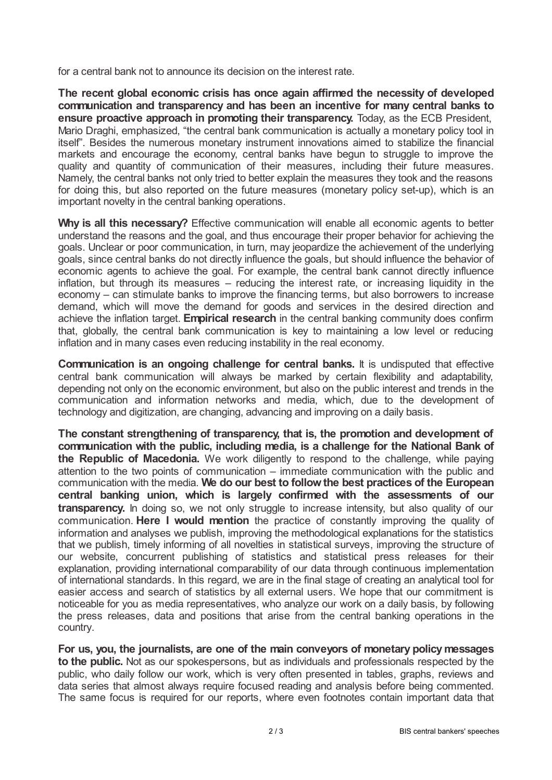for a central bank not to announce its decision on the interest rate.

**The recent global economic crisis has once again affirmed the necessity of developed communication and transparency and has been an incentive for many central banks to ensure proactive approach in promoting their transparency.** Today, as the ECB President, Mario Draghi, emphasized, "the central bank communication is actually a monetary policy tool in itself". Besides the numerous monetary instrument innovations aimed to stabilize the financial markets and encourage the economy, central banks have begun to struggle to improve the quality and quantity of communication of their measures, including their future measures. Namely, the central banks not only tried to better explain the measures they took and the reasons for doing this, but also reported on the future measures (monetary policy set-up), which is an important novelty in the central banking operations.

**Why is all this necessary?** Effective communication will enable all economic agents to better understand the reasons and the goal, and thus encourage their proper behavior for achieving the goals. Unclear or poor communication, in turn, may jeopardize the achievement of the underlying goals, since central banks do not directly influence the goals, but should influence the behavior of economic agents to achieve the goal. For example, the central bank cannot directly influence inflation, but through its measures – reducing the interest rate, or increasing liquidity in the economy – can stimulate banks to improve the financing terms, but also borrowers to increase demand, which will move the demand for goods and services in the desired direction and achieve the inflation target. **Empirical research** in the central banking community does confirm that, globally, the central bank communication is key to maintaining a low level or reducing inflation and in many cases even reducing instability in the real economy.

**Communication is an ongoing challenge for central banks.** It is undisputed that effective central bank communication will always be marked by certain flexibility and adaptability, depending not only on the economic environment, but also on the public interest and trends in the communication and information networks and media, which, due to the development of technology and digitization, are changing, advancing and improving on a daily basis.

**The constant strengthening of transparency, that is, the promotion and development of communication with the public, including media, is a challenge for the National Bank of the Republic of Macedonia.** We work diligently to respond to the challenge, while paying attention to the two points of communication – immediate communication with the public and communication with the media. **We do our best to followthe best practices of the European central banking union, which is largely confirmed with the assessments of our transparency.** In doing so, we not only struggle to increase intensity, but also quality of our communication. **Here I would mention** the practice of constantly improving the quality of information and analyses we publish, improving the methodological explanations for the statistics that we publish, timely informing of all novelties in statistical surveys, improving the structure of our website, concurrent publishing of statistics and statistical press releases for their explanation, providing international comparability of our data through continuous implementation of international standards. In this regard, we are in the final stage of creating an analytical tool for easier access and search of statistics by all external users. We hope that our commitment is noticeable for you as media representatives, who analyze our work on a daily basis, by following the press releases, data and positions that arise from the central banking operations in the country.

**For us, you, the journalists, are one of the main conveyors of monetary policymessages to the public.** Not as our spokespersons, but as individuals and professionals respected by the public, who daily follow our work, which is very often presented in tables, graphs, reviews and data series that almost always require focused reading and analysis before being commented. The same focus is required for our reports, where even footnotes contain important data that